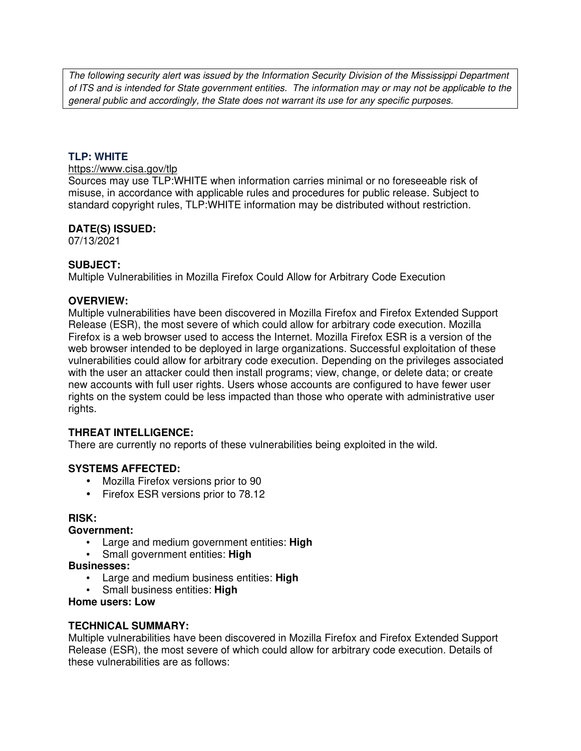The following security alert was issued by the Information Security Division of the Mississippi Department of ITS and is intended for State government entities. The information may or may not be applicable to the general public and accordingly, the State does not warrant its use for any specific purposes.

## **TLP: WHITE**

## https://www.cisa.gov/tlp

Sources may use TLP:WHITE when information carries minimal or no foreseeable risk of misuse, in accordance with applicable rules and procedures for public release. Subject to standard copyright rules, TLP:WHITE information may be distributed without restriction.

### **DATE(S) ISSUED:**

07/13/2021

## **SUBJECT:**

Multiple Vulnerabilities in Mozilla Firefox Could Allow for Arbitrary Code Execution

### **OVERVIEW:**

Multiple vulnerabilities have been discovered in Mozilla Firefox and Firefox Extended Support Release (ESR), the most severe of which could allow for arbitrary code execution. Mozilla Firefox is a web browser used to access the Internet. Mozilla Firefox ESR is a version of the web browser intended to be deployed in large organizations. Successful exploitation of these vulnerabilities could allow for arbitrary code execution. Depending on the privileges associated with the user an attacker could then install programs; view, change, or delete data; or create new accounts with full user rights. Users whose accounts are configured to have fewer user rights on the system could be less impacted than those who operate with administrative user rights.

## **THREAT INTELLIGENCE:**

There are currently no reports of these vulnerabilities being exploited in the wild.

#### **SYSTEMS AFFECTED:**

- Mozilla Firefox versions prior to 90
- Firefox ESR versions prior to 78.12

## **RISK:**

#### **Government:**

- Large and medium government entities: **High**
- Small government entities: **High**

#### **Businesses:**

- Large and medium business entities: **High**
- Small business entities: **High**

#### **Home users: Low**

### **TECHNICAL SUMMARY:**

Multiple vulnerabilities have been discovered in Mozilla Firefox and Firefox Extended Support Release (ESR), the most severe of which could allow for arbitrary code execution. Details of these vulnerabilities are as follows: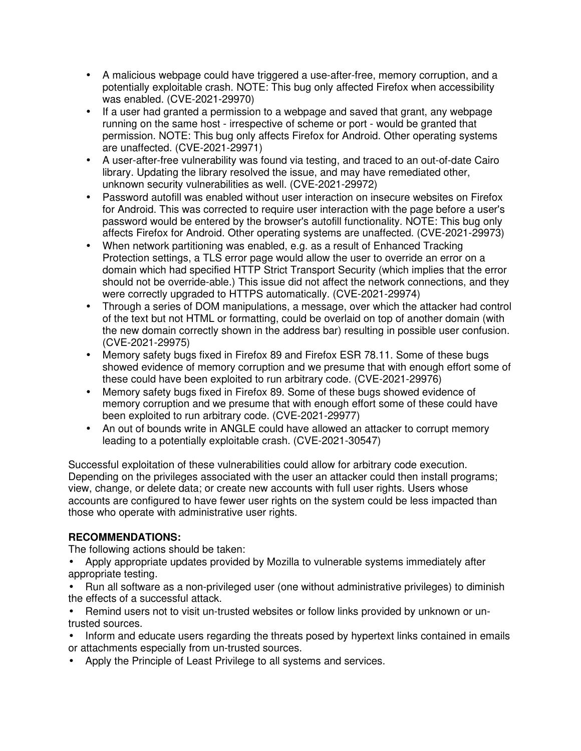- A malicious webpage could have triggered a use-after-free, memory corruption, and a potentially exploitable crash. NOTE: This bug only affected Firefox when accessibility was enabled. (CVE-2021-29970)
- If a user had granted a permission to a webpage and saved that grant, any webpage running on the same host - irrespective of scheme or port - would be granted that permission. NOTE: This bug only affects Firefox for Android. Other operating systems are unaffected. (CVE-2021-29971)
- A user-after-free vulnerability was found via testing, and traced to an out-of-date Cairo library. Updating the library resolved the issue, and may have remediated other, unknown security vulnerabilities as well. (CVE-2021-29972)
- Password autofill was enabled without user interaction on insecure websites on Firefox for Android. This was corrected to require user interaction with the page before a user's password would be entered by the browser's autofill functionality. NOTE: This bug only affects Firefox for Android. Other operating systems are unaffected. (CVE-2021-29973)
- When network partitioning was enabled, e.g. as a result of Enhanced Tracking Protection settings, a TLS error page would allow the user to override an error on a domain which had specified HTTP Strict Transport Security (which implies that the error should not be override-able.) This issue did not affect the network connections, and they were correctly upgraded to HTTPS automatically. (CVE-2021-29974)
- Through a series of DOM manipulations, a message, over which the attacker had control of the text but not HTML or formatting, could be overlaid on top of another domain (with the new domain correctly shown in the address bar) resulting in possible user confusion. (CVE-2021-29975)
- Memory safety bugs fixed in Firefox 89 and Firefox ESR 78.11. Some of these bugs showed evidence of memory corruption and we presume that with enough effort some of these could have been exploited to run arbitrary code. (CVE-2021-29976)
- Memory safety bugs fixed in Firefox 89. Some of these bugs showed evidence of memory corruption and we presume that with enough effort some of these could have been exploited to run arbitrary code. (CVE-2021-29977)
- An out of bounds write in ANGLE could have allowed an attacker to corrupt memory leading to a potentially exploitable crash. (CVE-2021-30547)

Successful exploitation of these vulnerabilities could allow for arbitrary code execution. Depending on the privileges associated with the user an attacker could then install programs; view, change, or delete data; or create new accounts with full user rights. Users whose accounts are configured to have fewer user rights on the system could be less impacted than those who operate with administrative user rights.

# **RECOMMENDATIONS:**

The following actions should be taken:

- Apply appropriate updates provided by Mozilla to vulnerable systems immediately after appropriate testing.
- Run all software as a non-privileged user (one without administrative privileges) to diminish the effects of a successful attack.
- Remind users not to visit un-trusted websites or follow links provided by unknown or untrusted sources.
- Inform and educate users regarding the threats posed by hypertext links contained in emails or attachments especially from un-trusted sources.
- Apply the Principle of Least Privilege to all systems and services.